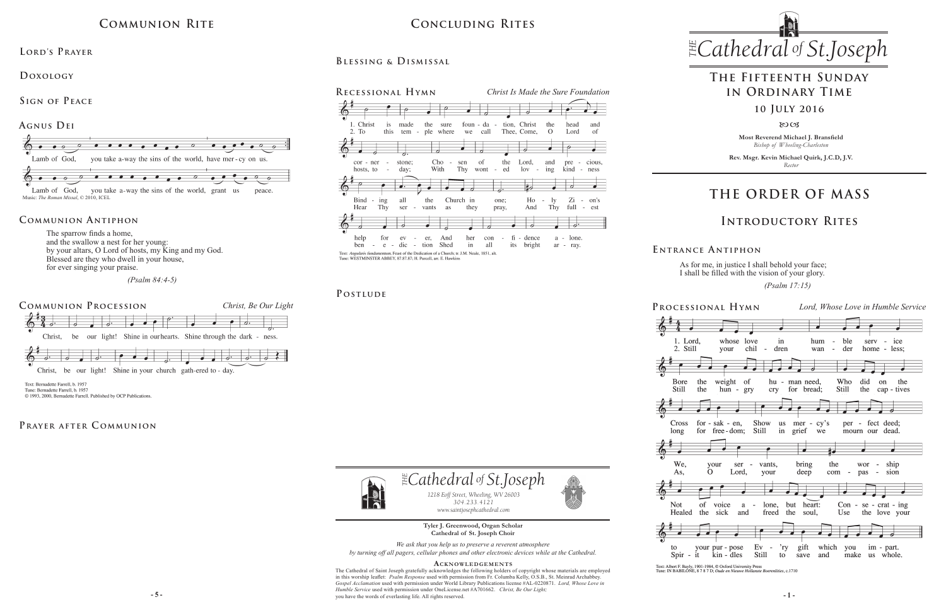**Most Reverend Michael J. Bransfield** *Bishop of Wheeling-Charleston*

**Rev. Msgr. Kevin Michael Quirk, J.C.D, J.V.** *Rector*



As for me, in justice I shall behold your face; I shall be filled with the vision of your glory.

 *(Psalm 17:15)* 

Text: Albert F. Bayly, 1901-1984, © Oxford University Press<br>Tune: IN BABILONE, 8 7 8 7 D; Oude en Nieuwe Hollanste Boerenl. ities. c.1710

**Tyler J. Greenwood, Organ Scholar Cathedral of St. Joseph Choir** *We ask that you help us to preserve a reverent atmosphere by turning off all pagers, cellular phones and other electronic devices while at the Cathedral.*

**- 5 - - 1 -** you have the words of everlasting life. All rights reserved. **Acknowledgement s** The Cathedral of Saint Joseph gratefully acknowledges the following holders of copyright whose materials are employed in this worship leaflet: *Psalm Response* used with permission from Fr. Columba Kelly, O.S.B., St. Meinrad Archabbey. *Gospel Acclamation* used with permission under World Library Publications license #AL-0220871. *Lord, Whose Love in Humble Service* used with permission under OneLicense.net #A701662. *Christ, Be Our Light;* 

# $CONCLUDING RITES$  *Cathedral St THE of .Joseph* **Concluding Rites**

*1218 Eoff Street, Wheeling, WV 26003 304.233.4121 304.233.4121*

 $\exists$  *Cathedral* of *St.Joseph* 



*www.saintjosephcathedral.com*

*www.saintjosephcathedral.com*

The sparrow finds a home, and the swallow a nest for her young: by your altars, O Lord of hosts, my King and my God. Blessed are they who dwell in your house, for ever singing your praise.

 *(Psalm 84:4-5)*

# **THE ORDER OF MASS**







**E ntrance A ntiphon**

### **Introductory Rites**

# **The Fifteenth Sunday in Ordinary Time**

#### **10 July 2016**

8003

# **Communion Rite**

### **Communion Antiphon**

# **Blessing & Dismissal**



#### POSTLUDE

# 的





to

#### **Lord's Prayer**

**Doxology** 



Tune: Bernadette Farrell, b. 1957 © 1993, 2000, Bernadette Farrell. Published by OCP Publications.

#### PRAYER AFTER COMMUNION

## **Sign of Peace**

Music: *The Roman Missal*, © 2010, ICEL

#### **Agnus Dei**